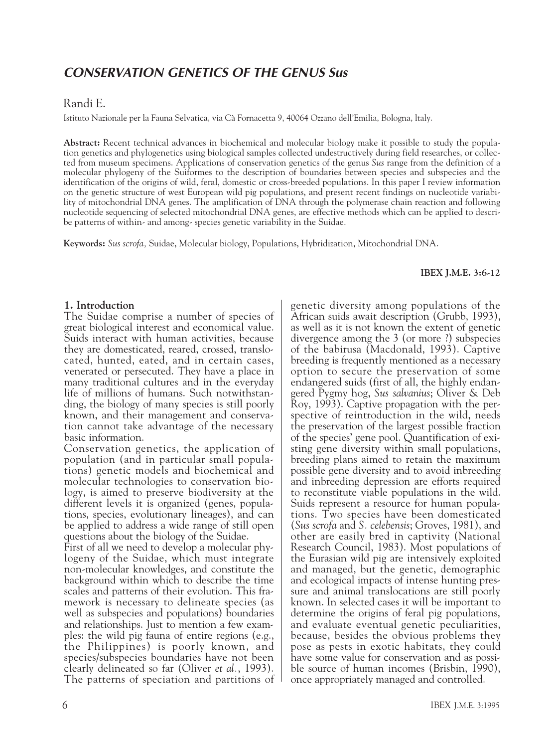# *CONSERVATION GENETICS OF THE GENUS Sus*

## Randi E.

Istituto Nazionale per la Fauna Selvatica, via Cà Fornacetta 9, 40064 Ozzano dell'Emilia, Bologna, ltaly.

**Abstract:** Recent technical advances in biochemical and molecular biology make it possible to study the population genetics and phylogenetics using biological samples collected undestructively during field researches, or collected from museum specimens. Applications of conservation genetics of the genus *Sus* range from the definition of a molecular phylogeny of the Suiformes to the description of boundaries between species and subspecies and the identification of the origins of wild, feral, domestic or cross-breeded populations. In this paper I review information on the genetic structure of west European wild pig populations, and present recent findings on nucleotide variability of mitochondrial DNA genes. The amplification of DNA through the polymerase chain reaction and following nucleotide sequencing of selected mitochondrial DNA genes, are effective methods which can be applied to describe patterns of within- and among- species genetic variability in the Suidae.

**Keywords:** *Sus scrofa,* Suidae, Molecular biology, Populations, Hybridization, Mitochondrial DNA.

#### **IBEX J.M.E. 3:6-12**

### **1. Introduction**

The Suidae comprise a number of species of great biological interest and economical value. Suids interact with human activities, because they are domesticated, reared, crossed, translocated, hunted, eated, and in certain cases, venerated or persecuted. They have a place in many traditional cultures and in the everyday life of millions of humans. Such notwithstanding, the biology of many species is still poorly known, and their management and conservation cannot take advantage of the necessary basic information.

Conservation genetics, the application of population (and in particular small populations) genetic models and biochemical and molecular technologies to conservation biology, is aimed to preserve biodiversity at the different levels it is organized (genes, populations, species, evolutionary lineages), and can be applied to address a wide range of still open questions about the biology of the Suidae.

First of all we need to develop a molecular phylogeny of the Suidae, which must integrate non-molecular knowledges, and constitute the background within which to describe the time scales and patterns of their evolution. This framework is necessary to delineate species (as well as subspecies and populations) boundaries and relationships. Just to mention a few examples: the wild pig fauna of entire regions (e.g., the Philippines) is poorly known, and species/subspecies boundaries have not been clearly delineated so far (Oliver *et al.*, 1993). The patterns of speciation and partitions of genetic diversity among populations of the African suids await description (Grubb, 1993), as well as it is not known the extent of genetic divergence among the 3 (or more ?) subspecies of the babirusa (Macdonald, 1993). Captive breeding is frequently mentioned as a necessary option to secure the preservation of some endangered suids (first of all, the highly endangered Pygmy hog, *Sus salvanius*; Oliver & Deb Roy, 1993). Captive propagation with the perspective of reintroduction in the wild, needs the preservation of the largest possible fraction of the species' gene pool. Quantification of existing gene diversity within small populations, breeding plans aimed to retain the maximum possible gene diversity and to avoid inbreeding and inbreeding depression are efforts required to reconstitute viable populations in the wild. Suids represent a resource for human populations. Two species have been domesticated (*Sus scrofa* and *S. celebensis*; Groves, 1981), and other are easily bred in captivity (National Research Council, 1983). Most populations of the Eurasian wild pig are intensively exploited and managed, but the genetic, demographic and ecological impacts of intense hunting pressure and animal translocations are still poorly known. In selected cases it will be important to determine the origins of feral pig populations, and evaluate eventual genetic peculiarities, because, besides the obvious problems they pose as pests in exotic habitats, they could have some value for conservation and as possible source of human incomes (Brisbin, 1990), once appropriately managed and controlled.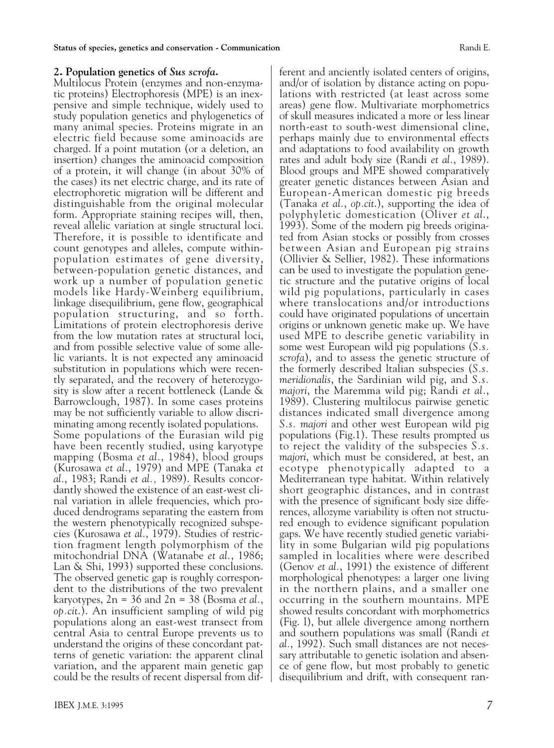## **2. Population genetics of** *Sus scrofa***.**

Multilocus Protein (enzymes and non-enzymatic proteins) Electrophoresis (MPE) is an inexpensive and simple technique, widely used to study population genetics and phylogenetics of many animal species. Proteins migrate in an electric field because some aminoacids are charged. If a point mutation (or a deletion, an insertion) changes the aminoacid composition of a protein, it will change (in about 30% of the cases) its net electric charge, and its rate of electrophoretic migration will be different and distinguishable from the original molecular form. Appropriate staining recipes will, then, reveal allelic variation at single structural loci. Therefore, it is possible to identificate and count genotypes and alleles, compute withinpopulation estimates of gene diversity, between-population genetic distances, and work up a number of population genetic models like Hardy-Weinberg equilibrium, linkage disequilibrium, gene flow, geographical population structuring, and so forth. Limitations of protein electrophoresis derive from the low mutation rates at structural loci, and from possible selective value of some allelic variants. lt is not expected any aminoacid substitution in populations which were recently separated, and the recovery of heterozygosity is slow after a recent bottleneck (Lande & Barrowclough, 1987). In some cases proteins may be not sufficiently variable to allow discriminating among recently isolated populations. Some populations of the Eurasian wild pig have been recently studied, using karyotype mapping (Bosma *et al.*, 1984), blood groups (Kurosawa *et al.*, 1979) and MPE (Tanaka *et al.*, 1983; Randi *et al.,* 1989). Results concordantly showed the existence of an east-west clinal variation in allele frequencies, which produced dendrograms separating the eastern from the western phenotypically recognized subspecies (Kurosawa *et al.*, 1979). Studies of restriction fragment length polymorphism of the mitochondrial DNA (Watanabe *et al.*, 1986; Lan & Shi, 1993) supported these conclusions. The observed genetic gap is roughly correspondent to the distributions of the two prevalent karyotypes, 2n = 36 and 2n = 38 (Bosma *et al.*, *op.cit*.). An insufficient sampling of wild pig populations along an east-west transect from central Asia to central Europe prevents us to understand the origins of these concordant patterns of genetic variation: the apparent clinal variation, and the apparent main genetic gap could be the results of recent dispersal from different and anciently isolated centers of origins, and/or of isolation by distance acting on populations with restricted (at least across some areas) gene flow. Multivariate morphometrics of skull measures indicated a more or less linear north-east to south-west dimensional cline, perhaps mainly due to environmental effects and adaptations to food availability on growth rates and adult body size (Randi *et al.*, 1989). Blood groups and MPE showed comparatively greater genetic distances between Asian and European-American domestic pig breeds (Tanaka *et al.*, *op.cit*.), supporting the idea of polyphyletic domestication (Oliver *et al*., 1993). Some of the modern pig breeds originated from Asian stocks or possibly from crosses between Asian and European pig strains (Ollivier & Sellier, 1982). These informations can be used to investigate the population genetic structure and the putative origins of local wild pig populations, particularly in cases where translocations and/or introductions could have originated populations of uncertain origins or unknown genetic make up. We have used MPE to describe genetic variability in some west European wild pig populations (*S.s. scrofa*), and to assess the genetic structure of the formerly described ltalian subspecies (*S.s. meridionalis*, the Sardinian wild pig, and *S.s. majori*, the Maremma wild pig; Randi *et al.*, 1989). Clustering multilocus pairwise genetic distances indicated small divergence among *S.s. majori* and other west European wild pig populations (Fig.1). These results prompted us to reject the validity of the subspecies *S.s. majori*, which must be considered, at best, an ecotype phenotypically adapted to a Mediterranean type habitat. Within relatively short geographic distances, and in contrast with the presence of significant body size differences, allozyme variability is often not structured enough to evidence significant population gaps. We have recently studied genetic variability in some Bulgarian wild pig populations sampled in localities where were described (Genov *et al.*, 1991) the existence of different morphological phenotypes: a larger one living in the northern plains, and a smaller one occurring in the southern mountains. MPE showed results concordant with morphometrics (Fig. l), but allele divergence among northern and southern populations was small (Randi *et al.*, 1992). Such small distances are not necessary attributable to genetic isolation and absence of gene flow, but most probably to genetic disequilibrium and drift, with consequent ran-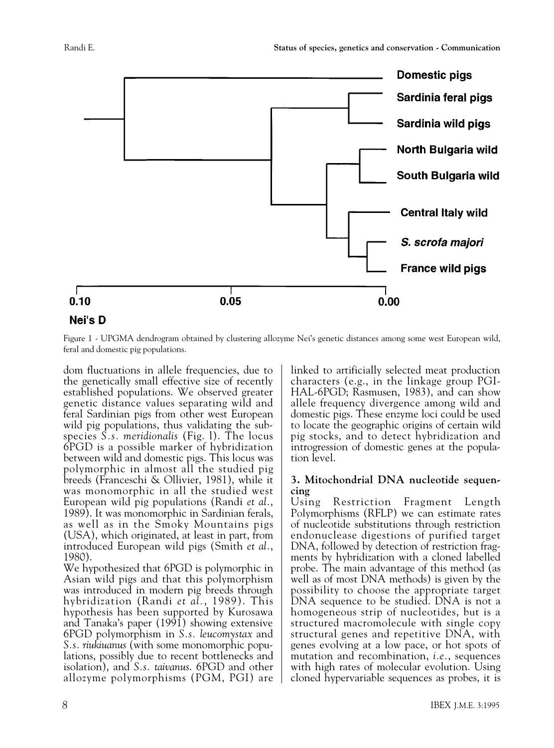

### Nei's D

Figure 1 - UPGMA dendrogram obtained by clustering allozyme Nei's genetic distances among some west European wild, feral and domestic pig populations.

dom fluctuations in allele frequencies, due to the genetically small effective size of recently established populations. We observed greater genetic distance values separating wild and feral Sardinian pigs from other west European wild pig populations, thus validating the subspecies *S.s. meridionalis* (Fig. l). The locus 6PGD is a possible marker of hybridization between wild and domestic pigs. This locus was polymorphic in almost all the studied pig breeds (Franceschi & Ollivier, 1981), while it was monomorphic in all the studied west European wild pig populations (Randi *et al.*, 1989). It was monomorphic in Sardinian ferals, as well as in the Smoky Mountains pigs (USA), which originated, at least in part, from introduced European wild pigs (Smith *et al.*, 1980).

We hypothesized that 6PGD is polymorphic in Asian wild pigs and that this polymorphism was introduced in modern pig breeds through hybridization (Randi *et al.*, 1989). This hypothesis has been supported by Kurosawa and Tanaka's paper (1991) showing extensive 6PGD polymorphism in *S.s. leucomystax* and *S.s. riukiuanus* (with some monomorphic populations, possibly due to recent bottlenecks and isolation), and *S.s. taivanus*. 6PGD and other allozyme polymorphisms (PGM, PGI) are linked to artificially selected meat production characters (e.g., in the linkage group PGI-HAL-6PGD; Rasmusen, 1983), and can show allele frequency divergence among wild and domestic pigs. These enzyme loci could be used to locate the geographic origins of certain wild pig stocks, and to detect hybridization and introgression of domestic genes at the population level.

## **3. Mitochondrial DNA nucleotide sequencing**

Using Restriction Fragment Length Polymorphisms (RFLP) we can estimate rates of nucleotide substitutions through restriction endonuclease digestions of purified target DNA, followed by detection of restriction fragments by hybridization with a cloned labelled probe. The main advantage of this method (as well as of most DNA methods) is given by the possibility to choose the appropriate target DNA sequence to be studied. DNA is not a homogeneous strip of nucleotides, but is a structured macromolecule with single copy structural genes and repetitive DNA, with genes evolving at a low pace, or hot spots of mutation and recombination, *i.e.*, sequences with high rates of molecular evolution. Using cloned hypervariable sequences as probes, it is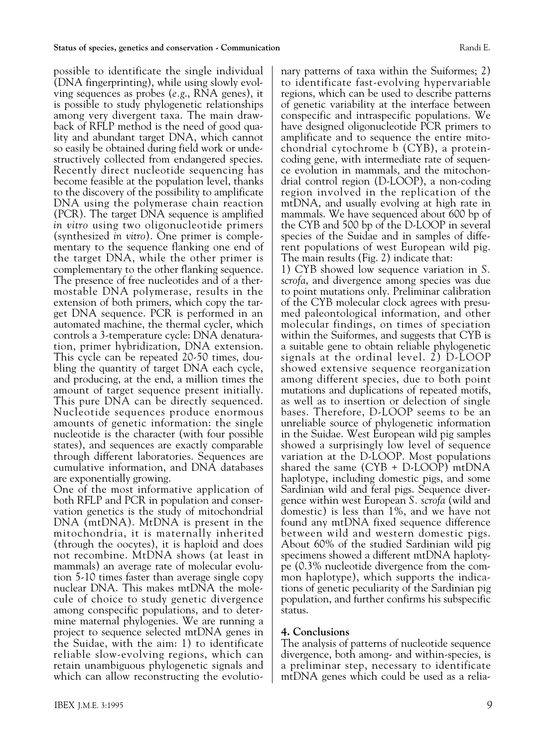possible to identificate the single individual (DNA fingerprinting), while using slowly evolving sequences as probes (*e.g*., RNA genes), it is possible to study phylogenetic relationships among very divergent taxa. The main drawback of RFLP method is the need of good quality and abundant target DNA, which cannot so easily be obtained during field work or undestructively collected from endangered species. Recently direct nucleotide sequencing has become feasible at the population level, thanks to the discovery of the possibility to amplificate DNA using the polymerase chain reaction (PCR). The target DNA sequence is amplified *in vitro* using two oligonucleotide primers (synthesized *in vitro*). One primer is complementary to the sequence flanking one end of the target DNA, while the other primer is complementary to the other flanking sequence. The presence of free nucleotides and of a thermostable DNA polymerase, results in the extension of both primers, which copy the target DNA sequence. PCR is performed in an automated machine, the thermal cycler, which controls a 3-temperature cycle: DNA denaturation, primer hybridization, DNA extension. This cycle can be repeated 20-50 times, doubling the quantity of target DNA each cycle, and producing, at the end, a million times the amount of target sequence present initially. This pure DNA can be directly sequenced. Nucleotide sequences produce enormous amounts of genetic information: the single nucleotide is the character (with four possible states), and sequences are exactly comparable through different laboratories. Sequences are cumulative information, and DNA databases are exponentially growing.

One of the most informative application of both RFLP and PCR in population and conservation genetics is the study of mitochondrial DNA (mtDNA). MtDNA is present in the mitochondria, it is maternally inherited (through the oocytes), it is haploid and does not recombine. MtDNA shows (at least in mammals) an average rate of molecular evolution 5-10 times faster than average single copy nuclear DNA. This makes mtDNA the molecule of choice to study genetic divergence among conspecific populations, and to determine maternal phylogenies. We are running a project to sequence selected mtDNA genes in the Suidae, with the aim: 1) to identificate reliable slow-evolving regions, which can retain unambiguous phylogenetic signals and which can allow reconstructing the evolutionary patterns of taxa within the Suiformes; 2) to identificate fast-evolving hypervariable regions, which can be used to describe patterns of genetic variability at the interface between conspecific and intraspecific populations. We have designed oligonucleotide PCR primers to amplificate and to sequence the entire mitochondrial cytochrome b (CYB), a proteincoding gene, with intermediate rate of sequence evolution in mammals, and the mitochondrial control region (D-LOOP), a non-coding region involved in the replication of the mtDNA, and usually evolving at high rate in mammals. We have sequenced about 600 bp of the CYB and 500 bp of the D-LOOP in several species of the Suidae and in samples of different populations of west European wild pig. The main results (Fig. 2) indicate that:

1) CYB showed low sequence variation in *S. scrofa*, and divergence among species was due to point mutations only. Preliminar calibration of the CYB molecular clock agrees with presumed paleontological information, and other molecular findings, on times of speciation within the Suiformes, and suggests that CYB is a suitable gene to obtain reliable phylogenetic signals at the ordinal level.  $\overline{2}$ ) D-LOOP showed extensive sequence reorganization among different species, due to both point mutations and duplications of repeated motifs, as well as to insertion or delection of single bases. Therefore, D-LOOP seems to be an unreliable source of phylogenetic information in the Suidae. West European wild pig samples showed a surprisingly low level of sequence variation at the D-LOOP. Most populations shared the same (CYB + D-LOOP) mtDNA haplotype, including domestic pigs, and some Sardinian wild and feral pigs. Sequence divergence within west European *S. scrofa* (wild and domestic) is less than 1%, and we have not found any mtDNA fixed sequence difference between wild and western domestic pigs. About 60% of the studied Sardinian wild pig specimens showed a different mtDNA haplotype (0.3% nucleotide divergence from the common haplotype), which supports the indications of genetic peculiarity of the Sardinian pig population, and further confirms his subspecific status.

## **4. Conclusions**

The analysis of patterns of nucleotide sequence divergence, both among- and within-species, is a preliminar step, necessary to identificate mtDNA genes which could be used as a relia-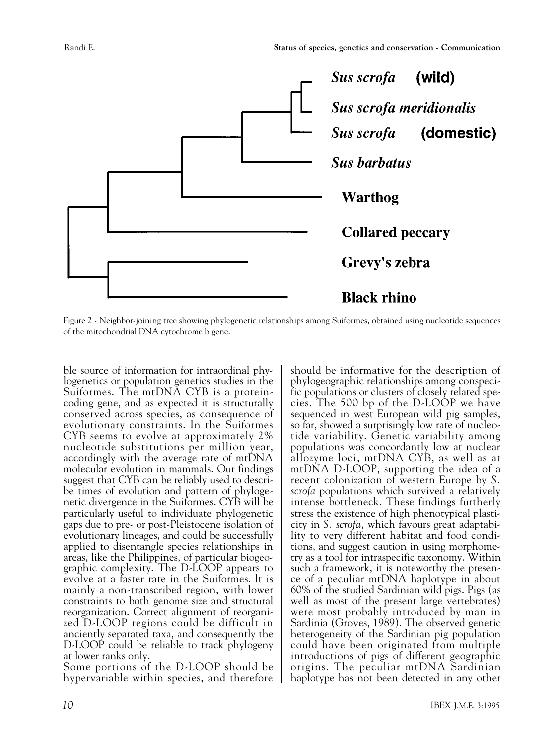

Figure 2 - Neighbor-joining tree showing phylogenetic relationships among Suiformes, obtained using nucleotide sequences of the mitochondrial DNA cytochrome b gene.

ble source of information for intraordinal phylogenetics or population genetics studies in the Suiformes. The mtDNA CYB is a proteincoding gene, and as expected it is structurally conserved across species, as consequence of evolutionary constraints. In the Suiformes CYB seems to evolve at approximately 2% nucleotide substitutions per million year, accordingly with the average rate of mtDNA molecular evolution in mammals. Our findings suggest that CYB can be reliably used to describe times of evolution and pattern of phylogenetic divergence in the Suiformes. CYB will be particularly useful to individuate phylogenetic gaps due to pre- or post-Pleistocene isolation of evolutionary lineages, and could be successfully applied to disentangle species relationships in areas, like the Philippines, of particular biogeographic complexity. The D-LOOP appears to evolve at a faster rate in the Suiformes. lt is mainly a non-transcribed region, with lower constraints to both genome size and structural reorganization. Correct alignment of reorganized D-LOOP regions could be difficult in anciently separated taxa, and consequently the D-LOOP could be reliable to track phylogeny at lower ranks only.

Some portions of the D-LOOP should be hypervariable within species, and therefore should be informative for the description of phylogeographic relationships among conspecific populations or clusters of closely related species. The 500 bp of the D-LOOP we have sequenced in west European wild pig samples, so far, showed a surprisingly low rate of nucleotide variability. Genetic variability among populations was concordantly low at nuclear allozyme loci, mtDNA CYB, as well as at mtDNA D-LOOP, supporting the idea of a recent colonization of western Europe by *S. scrofa* populations which survived a relatively intense bottleneck. These findings furtherly stress the existence of high phenotypical plasticity in *S. scrofa,* which favours great adaptability to very different habitat and food conditions, and suggest caution in using morphometry as a tool for intraspecific taxonomy. Within such a framework, it is noteworthy the presence of a peculiar mtDNA haplotype in about 60% of the studied Sardinian wild pigs. Pigs (as well as most of the present large vertebrates) were most probably introduced by man in Sardinia (Groves, 1989). The observed genetic heterogeneity of the Sardinian pig population could have been originated from multiple introductions of pigs of different geographic origins. The peculiar mtDNA Sardinian haplotype has not been detected in any other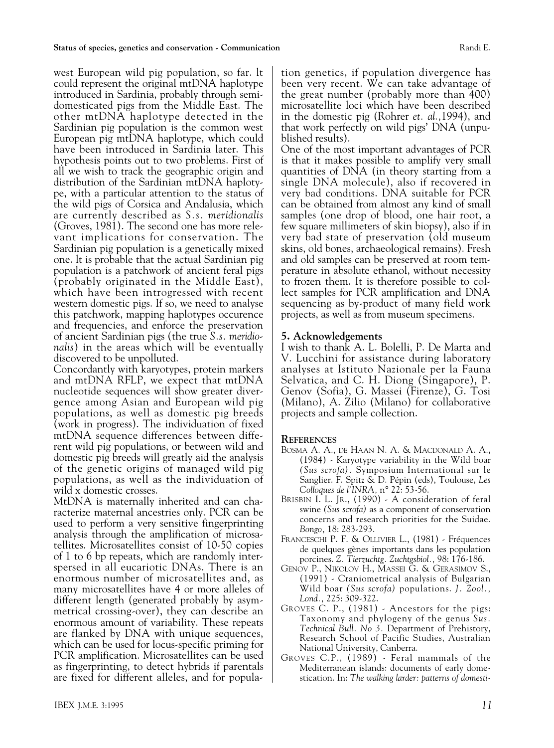west European wild pig population, so far. lt could represent the original mtDNA haplotype introduced in Sardinia, probably through semidomesticated pigs from the Middle East. The other mtDNA haplotype detected in the Sardinian pig population is the common west European pig mtDNA haplotype, which could have been introduced in Sardinia later. This hypothesis points out to two problems. First of all we wish to track the geographic origin and distribution of the Sardinian mtDNA haplotype, with a particular attention to the status of the wild pigs of Corsica and Andalusia, which are currently described as *S.s. meridionalis* (Groves, 1981). The second one has more relevant implications for conservation. The Sardinian pig population is a genetically mixed one. lt is probable that the actual Sardinian pig population is a patchwork of ancient feral pigs (probably originated in the Middle East), which have been introgressed with recent western domestic pigs. If so, we need to analyse this patchwork, mapping haplotypes occurence and frequencies, and enforce the preservation of ancient Sardinian pigs (the true *S.s. meridionalis*) in the areas which will be eventually discovered to be unpolluted.

Concordantly with karyotypes, protein markers and mtDNA RFLP, we expect that mtDNA nucleotide sequences will show greater divergence among Asian and European wild pig populations, as well as domestic pig breeds (work in progress). The individuation of fixed mtDNA sequence differences between different wild pig populations, or between wild and domestic pig breeds will greatly aid the analysis of the genetic origins of managed wild pig populations, as well as the individuation of wild x domestic crosses.

MtDNA is maternally inherited and can characterize maternal ancestries only. PCR can be used to perform a very sensitive fingerprinting analysis through the amplification of microsatellites. Microsatellites consist of 10-50 copies of 1 to 6 bp repeats, which are randomly interspersed in all eucariotic DNAs. There is an enormous number of microsatellites and, as many microsatellites have 4 or more alleles of different length (generated probably by asymmetrical crossing-over), they can describe an enormous amount of variability. These repeats are flanked by DNA with unique sequences, which can be used for locus-specific priming for PCR amplification. Microsatellites can be used as fingerprinting, to detect hybrids if parentals are fixed for different alleles, and for population genetics, if population divergence has been very recent. We can take advantage of the great number (probably more than 400) microsatellite loci which have been described in the domestic pig (Rohrer *et. al*.*,*1994), and that work perfectly on wild pigs' DNA (unpublished results).

One of the most important advantages of PCR is that it makes possible to amplify very small quantities of DNA (in theory starting from a single DNA molecule), also if recovered in very bad conditions. DNA suitable for PCR can be obtained from almost any kind of small samples (one drop of blood, one hair root, a few square millimeters of skin biopsy), also if in very bad state of preservation (old museum skins, old bones, archaeological remains). Fresh and old samples can be preserved at room temperature in absolute ethanol, without necessity to frozen them. It is therefore possible to collect samples for PCR amplification and DNA sequencing as by-product of many field work projects, as well as from museum specimens.

## **5. Acknowledgements**

I wish to thank A. L. Bolelli, P. De Marta and V. Lucchini for assistance during laboratory analyses at Istituto Nazionale per la Fauna Selvatica, and C. H. Diong (Singapore), P. Genov (Sofia), G. Massei (Firenze), G. Tosi (Milano), A. Zilio (Milano) for collaborative projects and sample collection.

## **REFERENCES**

- BOSMA A. A., DE HAAN N. A. & MACDONALD A. A., (1984) - Karyotype variability in the Wild boar *(Sus scrofa).* Symposium International sur le Sanglier. F. Spitz & D. Pépin (eds), Toulouse, *Les Colloques de l'INRA,* n° 22: 53-56.
- BRISBIN I. L. JR., (1990) A consideration of feral swine *(Sus scrofa)* as a component of conservation concerns and research priorities for the Suidae. *Bongo,* 18: 283-293.
- FRANCESCHI P. F. & OLLIVIER L., (1981) Fréquences de quelques gènes importants dans les population porcines. *Z. Tierzuchtg. Zuchtgsbiol.,* 98: 176-186.
- GENOV P., NIKOLOV H., MASSEI G. & GERASIMOV S., (1991) - Craniometrical analysis of Bulgarian Wild boar *(Sus scrofa)* populations. *J. Zool., Lond.,* 225: 309-322.
- GROVES C. P., (1981) Ancestors for the pigs: Taxonomy and phylogeny of the genus *Sus. Technical Bull. No 3.* Department of Prehistory, Research School of Pacific Studies, Australian National University, Canberra.
- GROVES C.P., (1989) Feral mammals of the Mediterranean islands: documents of early domestication. In: *The walking larder: patterns of domesti-*